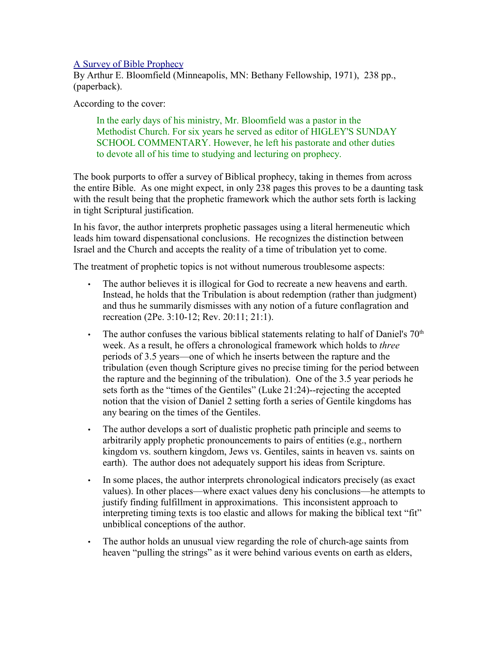## [A Survey of Bible Prophecy](http://www.bestbookdeal.com/booksearch?country=US&search=TTL&string=a%20survey%25of%20bible%20prophecy)

By Arthur E. Bloomfield (Minneapolis, MN: Bethany Fellowship, 1971), 238 pp., (paperback).

According to the cover:

In the early days of his ministry, Mr. Bloomfield was a pastor in the Methodist Church. For six years he served as editor of HIGLEY'S SUNDAY SCHOOL COMMENTARY. However, he left his pastorate and other duties to devote all of his time to studying and lecturing on prophecy.

The book purports to offer a survey of Biblical prophecy, taking in themes from across the entire Bible. As one might expect, in only 238 pages this proves to be a daunting task with the result being that the prophetic framework which the author sets forth is lacking in tight Scriptural justification.

In his favor, the author interprets prophetic passages using a literal hermeneutic which leads him toward dispensational conclusions. He recognizes the distinction between Israel and the Church and accepts the reality of a time of tribulation yet to come.

The treatment of prophetic topics is not without numerous troublesome aspects:

- The author believes it is illogical for God to recreate a new heavens and earth. Instead, he holds that the Tribulation is about redemption (rather than judgment) and thus he summarily dismisses with any notion of a future conflagration and recreation (2Pe. 3:10-12; Rev. 20:11; 21:1).
- The author confuses the various biblical statements relating to half of Daniel's  $70<sup>th</sup>$ week. As a result, he offers a chronological framework which holds to *three* periods of 3.5 years—one of which he inserts between the rapture and the tribulation (even though Scripture gives no precise timing for the period between the rapture and the beginning of the tribulation). One of the 3.5 year periods he sets forth as the "times of the Gentiles" (Luke 21:24)--rejecting the accepted notion that the vision of Daniel 2 setting forth a series of Gentile kingdoms has any bearing on the times of the Gentiles.
- The author develops a sort of dualistic prophetic path principle and seems to arbitrarily apply prophetic pronouncements to pairs of entities (e.g., northern kingdom vs. southern kingdom, Jews vs. Gentiles, saints in heaven vs. saints on earth). The author does not adequately support his ideas from Scripture.
- In some places, the author interprets chronological indicators precisely (as exact values). In other places—where exact values deny his conclusions—he attempts to justify finding fulfillment in approximations. This inconsistent approach to interpreting timing texts is too elastic and allows for making the biblical text "fit" unbiblical conceptions of the author.
- The author holds an unusual view regarding the role of church-age saints from heaven "pulling the strings" as it were behind various events on earth as elders,